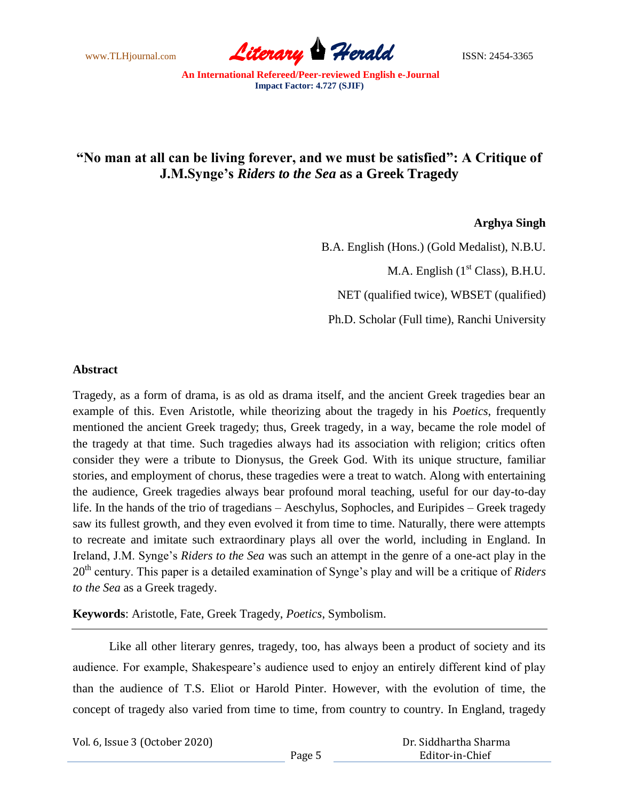

## **"No man at all can be living forever, and we must be satisfied": A Critique of J.M.Synge's** *Riders to the Sea* **as a Greek Tragedy**

## **Arghya Singh**

B.A. English (Hons.) (Gold Medalist), N.B.U. M.A. English  $(1<sup>st</sup> Class)$ , B.H.U.

NET (qualified twice), WBSET (qualified)

Ph.D. Scholar (Full time), Ranchi University

## **Abstract**

Tragedy, as a form of drama, is as old as drama itself, and the ancient Greek tragedies bear an example of this. Even Aristotle, while theorizing about the tragedy in his *Poetics*, frequently mentioned the ancient Greek tragedy; thus, Greek tragedy, in a way, became the role model of the tragedy at that time. Such tragedies always had its association with religion; critics often consider they were a tribute to Dionysus, the Greek God. With its unique structure, familiar stories, and employment of chorus, these tragedies were a treat to watch. Along with entertaining the audience, Greek tragedies always bear profound moral teaching, useful for our day-to-day life. In the hands of the trio of tragedians – Aeschylus, Sophocles, and Euripides – Greek tragedy saw its fullest growth, and they even evolved it from time to time. Naturally, there were attempts to recreate and imitate such extraordinary plays all over the world, including in England. In Ireland, J.M. Synge's *Riders to the Sea* was such an attempt in the genre of a one-act play in the 20th century. This paper is a detailed examination of Synge's play and will be a critique of *Riders to the Sea* as a Greek tragedy.

**Keywords**: Aristotle, Fate, Greek Tragedy, *Poetics*, Symbolism.

Like all other literary genres, tragedy, too, has always been a product of society and its audience. For example, Shakespeare's audience used to enjoy an entirely different kind of play than the audience of T.S. Eliot or Harold Pinter. However, with the evolution of time, the concept of tragedy also varied from time to time, from country to country. In England, tragedy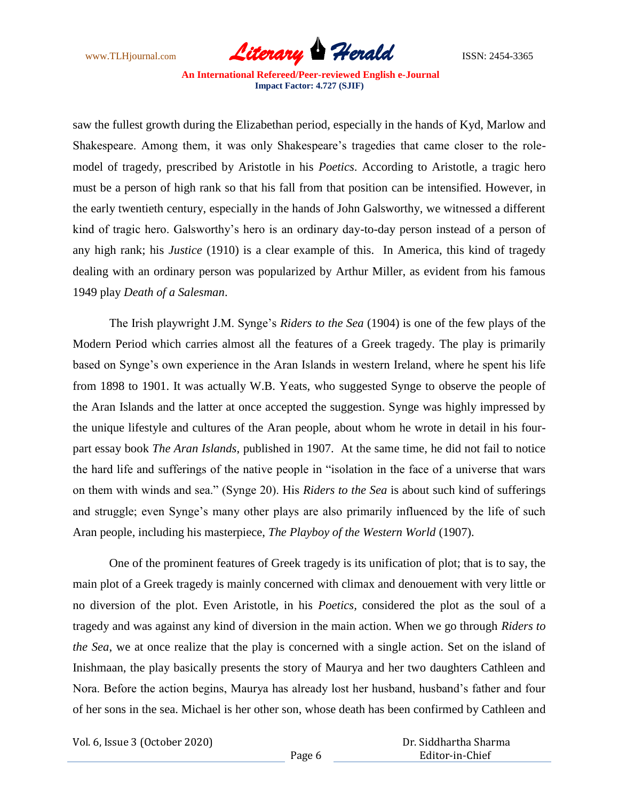

saw the fullest growth during the Elizabethan period, especially in the hands of Kyd, Marlow and Shakespeare. Among them, it was only Shakespeare's tragedies that came closer to the rolemodel of tragedy, prescribed by Aristotle in his *Poetics*. According to Aristotle, a tragic hero must be a person of high rank so that his fall from that position can be intensified. However, in the early twentieth century, especially in the hands of John Galsworthy, we witnessed a different kind of tragic hero. Galsworthy's hero is an ordinary day-to-day person instead of a person of any high rank; his *Justice* (1910) is a clear example of this. In America, this kind of tragedy dealing with an ordinary person was popularized by Arthur Miller, as evident from his famous 1949 play *Death of a Salesman*.

The Irish playwright J.M. Synge's *Riders to the Sea* (1904) is one of the few plays of the Modern Period which carries almost all the features of a Greek tragedy. The play is primarily based on Synge's own experience in the Aran Islands in western Ireland, where he spent his life from 1898 to 1901. It was actually W.B. Yeats, who suggested Synge to observe the people of the Aran Islands and the latter at once accepted the suggestion. Synge was highly impressed by the unique lifestyle and cultures of the Aran people, about whom he wrote in detail in his fourpart essay book *The Aran Islands*, published in 1907. At the same time, he did not fail to notice the hard life and sufferings of the native people in "isolation in the face of a universe that wars on them with winds and sea." (Synge 20). His *Riders to the Sea* is about such kind of sufferings and struggle; even Synge's many other plays are also primarily influenced by the life of such Aran people, including his masterpiece, *The Playboy of the Western World* (1907).

One of the prominent features of Greek tragedy is its unification of plot; that is to say, the main plot of a Greek tragedy is mainly concerned with climax and denouement with very little or no diversion of the plot. Even Aristotle, in his *Poetics,* considered the plot as the soul of a tragedy and was against any kind of diversion in the main action. When we go through *Riders to the Sea*, we at once realize that the play is concerned with a single action. Set on the island of Inishmaan, the play basically presents the story of Maurya and her two daughters Cathleen and Nora. Before the action begins, Maurya has already lost her husband, husband's father and four of her sons in the sea. Michael is her other son, whose death has been confirmed by Cathleen and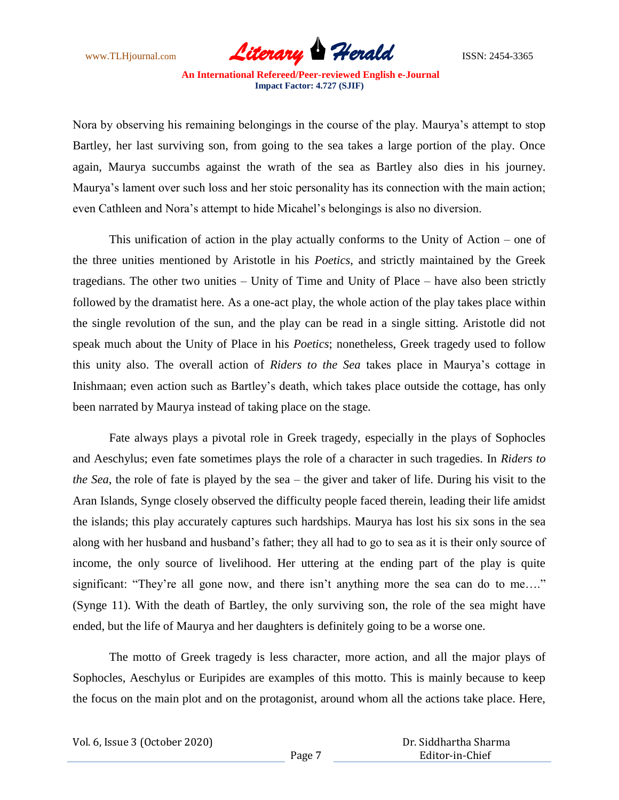

Nora by observing his remaining belongings in the course of the play. Maurya's attempt to stop Bartley, her last surviving son, from going to the sea takes a large portion of the play. Once again, Maurya succumbs against the wrath of the sea as Bartley also dies in his journey. Maurya's lament over such loss and her stoic personality has its connection with the main action; even Cathleen and Nora's attempt to hide Micahel's belongings is also no diversion.

This unification of action in the play actually conforms to the Unity of Action – one of the three unities mentioned by Aristotle in his *Poetics*, and strictly maintained by the Greek tragedians. The other two unities – Unity of Time and Unity of Place – have also been strictly followed by the dramatist here. As a one-act play, the whole action of the play takes place within the single revolution of the sun, and the play can be read in a single sitting. Aristotle did not speak much about the Unity of Place in his *Poetics*; nonetheless, Greek tragedy used to follow this unity also. The overall action of *Riders to the Sea* takes place in Maurya's cottage in Inishmaan; even action such as Bartley's death, which takes place outside the cottage, has only been narrated by Maurya instead of taking place on the stage.

Fate always plays a pivotal role in Greek tragedy, especially in the plays of Sophocles and Aeschylus; even fate sometimes plays the role of a character in such tragedies. In *Riders to the Sea*, the role of fate is played by the sea – the giver and taker of life. During his visit to the Aran Islands, Synge closely observed the difficulty people faced therein, leading their life amidst the islands; this play accurately captures such hardships. Maurya has lost his six sons in the sea along with her husband and husband's father; they all had to go to sea as it is their only source of income, the only source of livelihood. Her uttering at the ending part of the play is quite significant: "They're all gone now, and there isn't anything more the sea can do to me...." (Synge 11). With the death of Bartley, the only surviving son, the role of the sea might have ended, but the life of Maurya and her daughters is definitely going to be a worse one.

The motto of Greek tragedy is less character, more action, and all the major plays of Sophocles, Aeschylus or Euripides are examples of this motto. This is mainly because to keep the focus on the main plot and on the protagonist, around whom all the actions take place. Here,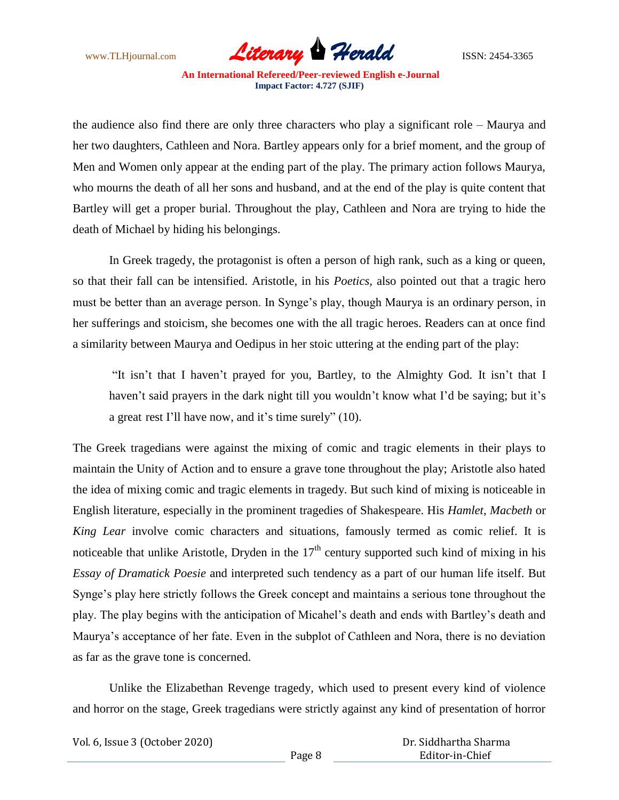

the audience also find there are only three characters who play a significant role – Maurya and her two daughters, Cathleen and Nora. Bartley appears only for a brief moment, and the group of Men and Women only appear at the ending part of the play. The primary action follows Maurya, who mourns the death of all her sons and husband, and at the end of the play is quite content that Bartley will get a proper burial. Throughout the play, Cathleen and Nora are trying to hide the death of Michael by hiding his belongings.

In Greek tragedy, the protagonist is often a person of high rank, such as a king or queen, so that their fall can be intensified. Aristotle, in his *Poetics,* also pointed out that a tragic hero must be better than an average person. In Synge's play, though Maurya is an ordinary person, in her sufferings and stoicism, she becomes one with the all tragic heroes. Readers can at once find a similarity between Maurya and Oedipus in her stoic uttering at the ending part of the play:

"It isn't that I haven't prayed for you, Bartley, to the Almighty God. It isn't that I haven't said prayers in the dark night till you wouldn't know what I'd be saying; but it's a great rest I'll have now, and it's time surely" (10).

The Greek tragedians were against the mixing of comic and tragic elements in their plays to maintain the Unity of Action and to ensure a grave tone throughout the play; Aristotle also hated the idea of mixing comic and tragic elements in tragedy. But such kind of mixing is noticeable in English literature, especially in the prominent tragedies of Shakespeare. His *Hamlet*, *Macbeth* or *King Lear* involve comic characters and situations, famously termed as comic relief. It is noticeable that unlike Aristotle, Dryden in the  $17<sup>th</sup>$  century supported such kind of mixing in his *Essay of Dramatick Poesie* and interpreted such tendency as a part of our human life itself. But Synge's play here strictly follows the Greek concept and maintains a serious tone throughout the play. The play begins with the anticipation of Micahel's death and ends with Bartley's death and Maurya's acceptance of her fate. Even in the subplot of Cathleen and Nora, there is no deviation as far as the grave tone is concerned.

Unlike the Elizabethan Revenge tragedy, which used to present every kind of violence and horror on the stage, Greek tragedians were strictly against any kind of presentation of horror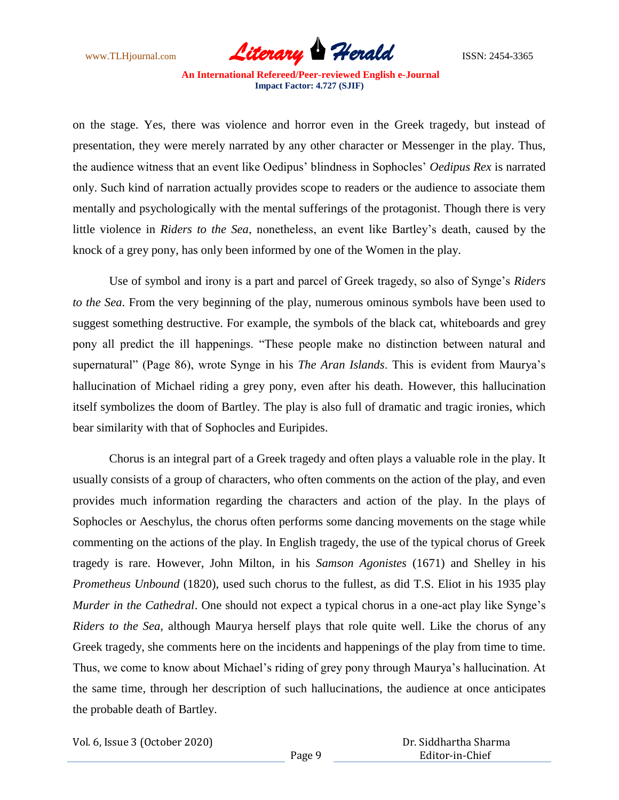

on the stage. Yes, there was violence and horror even in the Greek tragedy, but instead of presentation, they were merely narrated by any other character or Messenger in the play. Thus, the audience witness that an event like Oedipus' blindness in Sophocles' *Oedipus Rex* is narrated only. Such kind of narration actually provides scope to readers or the audience to associate them mentally and psychologically with the mental sufferings of the protagonist. Though there is very little violence in *Riders to the Sea*, nonetheless, an event like Bartley's death, caused by the knock of a grey pony, has only been informed by one of the Women in the play.

Use of symbol and irony is a part and parcel of Greek tragedy, so also of Synge's *Riders to the Sea*. From the very beginning of the play, numerous ominous symbols have been used to suggest something destructive. For example, the symbols of the black cat, whiteboards and grey pony all predict the ill happenings. "These people make no distinction between natural and supernatural" (Page 86), wrote Synge in his *The Aran Islands*. This is evident from Maurya's hallucination of Michael riding a grey pony, even after his death. However, this hallucination itself symbolizes the doom of Bartley. The play is also full of dramatic and tragic ironies, which bear similarity with that of Sophocles and Euripides.

Chorus is an integral part of a Greek tragedy and often plays a valuable role in the play. It usually consists of a group of characters, who often comments on the action of the play, and even provides much information regarding the characters and action of the play. In the plays of Sophocles or Aeschylus, the chorus often performs some dancing movements on the stage while commenting on the actions of the play. In English tragedy, the use of the typical chorus of Greek tragedy is rare. However, John Milton, in his *Samson Agonistes* (1671) and Shelley in his *Prometheus Unbound* (1820), used such chorus to the fullest, as did T.S. Eliot in his 1935 play *Murder in the Cathedral*. One should not expect a typical chorus in a one-act play like Synge's *Riders to the Sea*, although Maurya herself plays that role quite well. Like the chorus of any Greek tragedy, she comments here on the incidents and happenings of the play from time to time. Thus, we come to know about Michael's riding of grey pony through Maurya's hallucination. At the same time, through her description of such hallucinations, the audience at once anticipates the probable death of Bartley.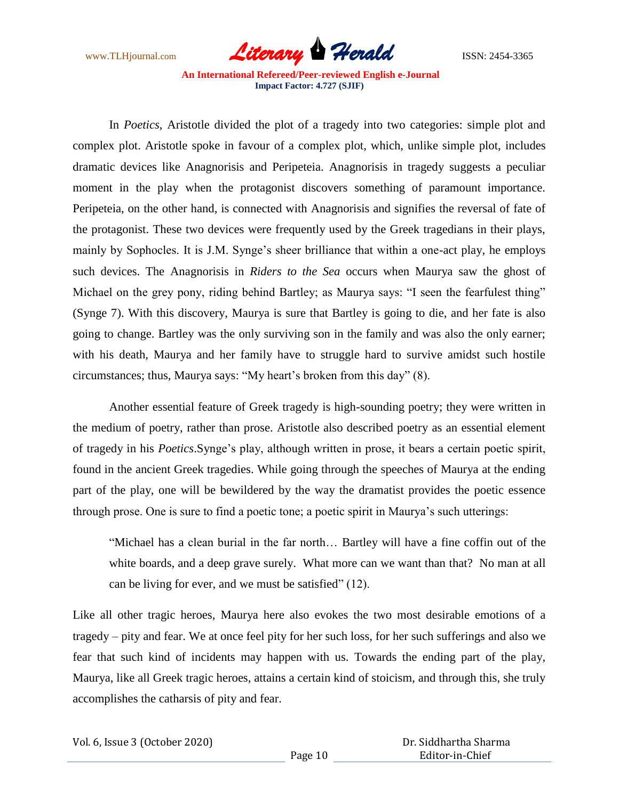

In *Poetics*, Aristotle divided the plot of a tragedy into two categories: simple plot and complex plot. Aristotle spoke in favour of a complex plot, which, unlike simple plot, includes dramatic devices like Anagnorisis and Peripeteia. Anagnorisis in tragedy suggests a peculiar moment in the play when the protagonist discovers something of paramount importance. Peripeteia, on the other hand, is connected with Anagnorisis and signifies the reversal of fate of the protagonist. These two devices were frequently used by the Greek tragedians in their plays, mainly by Sophocles. It is J.M. Synge's sheer brilliance that within a one-act play, he employs such devices. The Anagnorisis in *Riders to the Sea* occurs when Maurya saw the ghost of Michael on the grey pony, riding behind Bartley; as Maurya says: "I seen the fearfulest thing" (Synge 7). With this discovery, Maurya is sure that Bartley is going to die, and her fate is also going to change. Bartley was the only surviving son in the family and was also the only earner; with his death, Maurya and her family have to struggle hard to survive amidst such hostile circumstances; thus, Maurya says: "My heart's broken from this day" (8).

Another essential feature of Greek tragedy is high-sounding poetry; they were written in the medium of poetry, rather than prose. Aristotle also described poetry as an essential element of tragedy in his *Poetics*.Synge's play, although written in prose, it bears a certain poetic spirit, found in the ancient Greek tragedies. While going through the speeches of Maurya at the ending part of the play, one will be bewildered by the way the dramatist provides the poetic essence through prose. One is sure to find a poetic tone; a poetic spirit in Maurya's such utterings:

"Michael has a clean burial in the far north… Bartley will have a fine coffin out of the white boards, and a deep grave surely. What more can we want than that? No man at all can be living for ever, and we must be satisfied" (12).

Like all other tragic heroes, Maurya here also evokes the two most desirable emotions of a tragedy – pity and fear. We at once feel pity for her such loss, for her such sufferings and also we fear that such kind of incidents may happen with us. Towards the ending part of the play, Maurya, like all Greek tragic heroes, attains a certain kind of stoicism, and through this, she truly accomplishes the catharsis of pity and fear.